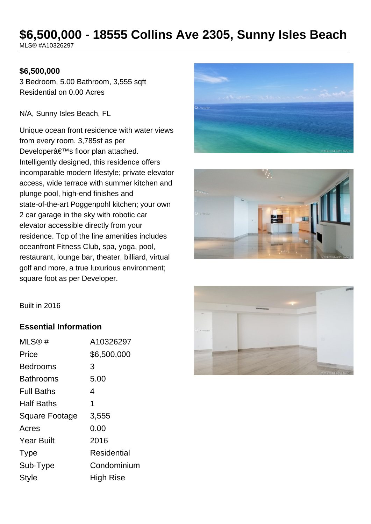# **\$6,500,000 - 18555 Collins Ave 2305, Sunny Isles Beach**

MLS® #A10326297

#### **\$6,500,000**

3 Bedroom, 5.00 Bathroom, 3,555 sqft Residential on 0.00 Acres

N/A, Sunny Isles Beach, FL

Unique ocean front residence with water views from every room. 3,785sf as per Developer's floor plan attached. Intelligently designed, this residence offers incomparable modern lifestyle; private elevator access, wide terrace with summer kitchen and plunge pool, high-end finishes and state-of-the-art Poggenpohl kitchen; your own 2 car garage in the sky with robotic car elevator accessible directly from your residence. Top of the line amenities includes oceanfront Fitness Club, spa, yoga, pool, restaurant, lounge bar, theater, billiard, virtual golf and more, a true luxurious environment; square foot as per Developer.







#### **Essential Information**

| MLS@#             | A10326297   |
|-------------------|-------------|
| Price             | \$6,500,000 |
| Bedrooms          | 3           |
| <b>Bathrooms</b>  | 5.00        |
| <b>Full Baths</b> | 4           |
| <b>Half Baths</b> | 1           |
| Square Footage    | 3,555       |
| Acres             | 0.00        |
| <b>Year Built</b> | 2016        |
| <b>Type</b>       | Residential |
| Sub-Type          | Condominium |
| <b>Style</b>      | High Rise   |

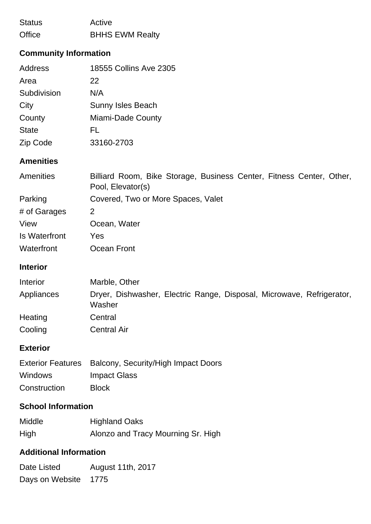| <b>Status</b> | Active                 |
|---------------|------------------------|
| Office        | <b>BHHS EWM Realty</b> |

# **Community Information**

| Address      | 18555 Collins Ave 2305   |
|--------------|--------------------------|
| Area         | 22                       |
| Subdivision  | N/A                      |
| City         | <b>Sunny Isles Beach</b> |
| County       | Miami-Dade County        |
| <b>State</b> | FL                       |
| Zip Code     | 33160-2703               |

# **Amenities**

| <b>Amenities</b> | Billiard Room, Bike Storage, Business Center, Fitness Center, Other,<br>Pool, Elevator(s) |  |  |
|------------------|-------------------------------------------------------------------------------------------|--|--|
| Parking          | Covered, Two or More Spaces, Valet                                                        |  |  |
| # of Garages     | 2                                                                                         |  |  |
| View             | Ocean, Water                                                                              |  |  |
| Is Waterfront    | Yes                                                                                       |  |  |
| Waterfront       | Ocean Front                                                                               |  |  |

#### **Interior**

| Interior   | Marble, Other                                                                   |
|------------|---------------------------------------------------------------------------------|
| Appliances | Dryer, Dishwasher, Electric Range, Disposal, Microwave, Refrigerator,<br>Washer |
| Heating    | Central                                                                         |
| Cooling    | <b>Central Air</b>                                                              |

### **Exterior**

|                | Exterior Features Balcony, Security/High Impact Doors |
|----------------|-------------------------------------------------------|
| <b>Windows</b> | Impact Glass                                          |
| Construction   | <b>Block</b>                                          |

### **School Information**

| Middle | <b>Highland Oaks</b>               |
|--------|------------------------------------|
| High   | Alonzo and Tracy Mourning Sr. High |

# **Additional Information**

Date Listed August 11th, 2017 Days on Website 1775